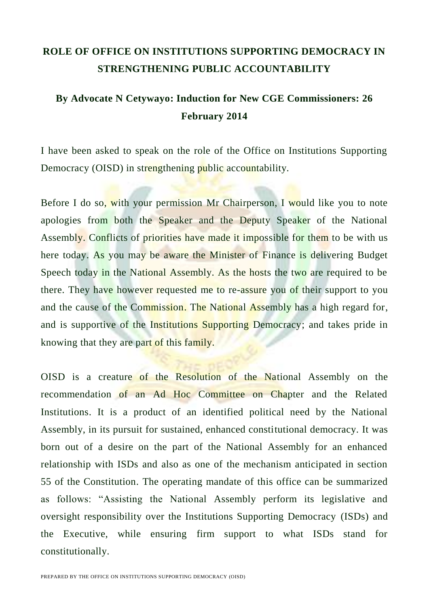## **ROLE OF OFFICE ON INSTITUTIONS SUPPORTING DEMOCRACY IN STRENGTHENING PUBLIC ACCOUNTABILITY**

## **By Advocate N Cetywayo: Induction for New CGE Commissioners: 26 February 2014**

I have been asked to speak on the role of the Office on Institutions Supporting Democracy (OISD) in strengthening public accountability.

Before I do so, with your permission Mr Chairperson, I would like you to note apologies from both the Speaker and the Deputy Speaker of the National Assembly. Conflicts of priorities have made it impossible for them to be with us here today. As you may be aware the Minister of Finance is delivering Budget Speech today in the National Assembly. As the hosts the two are required to be there. They have however requested me to re-assure you of their support to you and the cause of the Commission. The National Assembly has a high regard for, and is supportive of the Institutions Supporting Democracy; and takes pride in knowing that they are part of this family.

OISD is a creature of the Resolution of the National Assembly on the recommendation of an Ad Hoc Committee on Chapter and the Related Institutions. It is a product of an identified political need by the National Assembly, in its pursuit for sustained, enhanced constitutional democracy. It was born out of a desire on the part of the National Assembly for an enhanced relationship with ISDs and also as one of the mechanism anticipated in section 55 of the Constitution. The operating mandate of this office can be summarized as follows: "Assisting the National Assembly perform its legislative and oversight responsibility over the Institutions Supporting Democracy (ISDs) and the Executive, while ensuring firm support to what ISDs stand for constitutionally.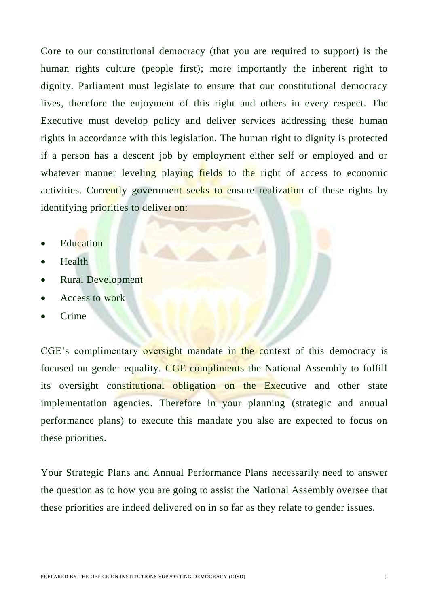Core to our constitutional democracy (that you are required to support) is the human rights culture (people first); more importantly the inherent right to dignity. Parliament must legislate to ensure that our constitutional democracy lives, therefore the enjoyment of this right and others in every respect. The Executive must develop policy and deliver services addressing these human rights in accordance with this legislation. The human right to dignity is protected if a person has a descent job by employment either self or employed and or whatever manner leveling playing fields to the right of access to economic activities. Currently government seeks to ensure realization of these rights by identifying priorities to deliver on:

- **Education**
- Health
- Rural Development
- Access to work
- Crime

CGE's complimentary oversight mandate in the context of this democracy is focused on gender equality. CGE compliments the National Assembly to fulfill its oversight constitutional obligation on the Executive and other state implementation agencies. Therefore in your planning (strategic and annual performance plans) to execute this mandate you also are expected to focus on these priorities.

Your Strategic Plans and Annual Performance Plans necessarily need to answer the question as to how you are going to assist the National Assembly oversee that these priorities are indeed delivered on in so far as they relate to gender issues.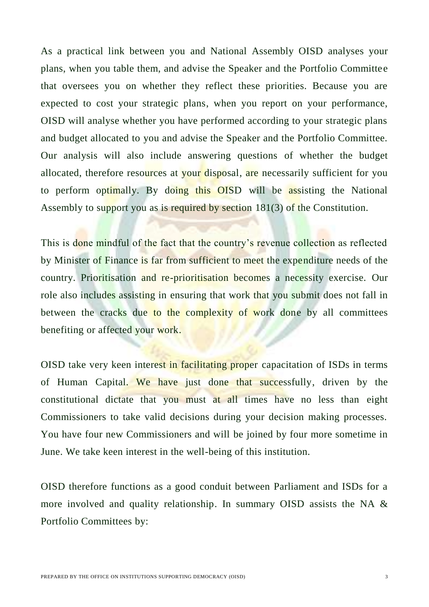As a practical link between you and National Assembly OISD analyses your plans, when you table them, and advise the Speaker and the Portfolio Committee that oversees you on whether they reflect these priorities. Because you are expected to cost your strategic plans, when you report on your performance, OISD will analyse whether you have performed according to your strategic plans and budget allocated to you and advise the Speaker and the Portfolio Committee. Our analysis will also include answering questions of whether the budget allocated, therefore resources at your disposal, are necessarily sufficient for you to perform optimally. By doing this OISD will be assisting the National Assembly to support you as is required by section 181(3) of the Constitution.

This is done mindful of the fact that the country's revenue collection as reflected by Minister of Finance is far from sufficient to meet the expenditure needs of the country. Prioritisation and re-prioritisation becomes a necessity exercise. Our role also includes assisting in ensuring that work that you submit does not fall in between the cracks due to the complexity of work done by all committees benefiting or affected your work.

OISD take very keen interest in facilitating proper capacitation of ISDs in terms of Human Capital. We have just done that successfully, driven by the constitutional dictate that you must at all times have no less than eight Commissioners to take valid decisions during your decision making processes. You have four new Commissioners and will be joined by four more sometime in June. We take keen interest in the well-being of this institution.

OISD therefore functions as a good conduit between Parliament and ISDs for a more involved and quality relationship. In summary OISD assists the NA & Portfolio Committees by: